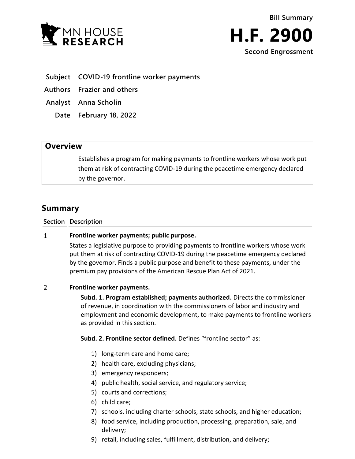



- **Subject COVID-19 frontline worker payments**
- **Authors Frazier and others**
- **Analyst Anna Scholin**
	- **Date February 18, 2022**

## **Overview**

Establishes a program for making payments to frontline workers whose work put them at risk of contracting COVID-19 during the peacetime emergency declared by the governor.

# **Summary**

### **Section Description**

#### $\mathbf{1}$ **Frontline worker payments; public purpose.**

States a legislative purpose to providing payments to frontline workers whose work put them at risk of contracting COVID-19 during the peacetime emergency declared by the governor. Finds a public purpose and benefit to these payments, under the premium pay provisions of the American Rescue Plan Act of 2021.

#### $\overline{2}$ **Frontline worker payments.**

**Subd. 1. Program established; payments authorized.** Directs the commissioner of revenue, in coordination with the commissioners of labor and industry and employment and economic development, to make payments to frontline workers as provided in this section.

**Subd. 2. Frontline sector defined.** Defines "frontline sector" as:

- 1) long-term care and home care;
- 2) health care, excluding physicians;
- 3) emergency responders;
- 4) public health, social service, and regulatory service;
- 5) courts and corrections;
- 6) child care;
- 7) schools, including charter schools, state schools, and higher education;
- 8) food service, including production, processing, preparation, sale, and delivery;
- 9) retail, including sales, fulfillment, distribution, and delivery;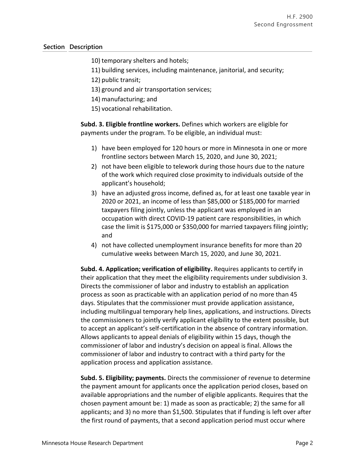### **Section Description**

10) temporary shelters and hotels;

11) building services, including maintenance, janitorial, and security;

12) public transit;

- 13) ground and air transportation services;
- 14) manufacturing; and
- 15) vocational rehabilitation.

**Subd. 3. Eligible frontline workers.** Defines which workers are eligible for payments under the program. To be eligible, an individual must:

- 1) have been employed for 120 hours or more in Minnesota in one or more frontline sectors between March 15, 2020, and June 30, 2021;
- 2) not have been eligible to telework during those hours due to the nature of the work which required close proximity to individuals outside of the applicant's household;
- 3) have an adjusted gross income, defined as, for at least one taxable year in 2020 or 2021, an income of less than \$85,000 or \$185,000 for married taxpayers filing jointly, unless the applicant was employed in an occupation with direct COVID-19 patient care responsibilities, in which case the limit is \$175,000 or \$350,000 for married taxpayers filing jointly; and
- 4) not have collected unemployment insurance benefits for more than 20 cumulative weeks between March 15, 2020, and June 30, 2021.

**Subd. 4. Application; verification of eligibility.** Requires applicants to certify in their application that they meet the eligibility requirements under subdivision 3. Directs the commissioner of labor and industry to establish an application process as soon as practicable with an application period of no more than 45 days. Stipulates that the commissioner must provide application assistance, including multilingual temporary help lines, applications, and instructions. Directs the commissioners to jointly verify applicant eligibility to the extent possible, but to accept an applicant's self-certification in the absence of contrary information. Allows applicants to appeal denials of eligibility within 15 days, though the commissioner of labor and industry's decision on appeal is final. Allows the commissioner of labor and industry to contract with a third party for the application process and application assistance.

**Subd. 5. Eligibility; payments.** Directs the commissioner of revenue to determine the payment amount for applicants once the application period closes, based on available appropriations and the number of eligible applicants. Requires that the chosen payment amount be: 1) made as soon as practicable; 2) the same for all applicants; and 3) no more than \$1,500. Stipulates that if funding is left over after the first round of payments, that a second application period must occur where